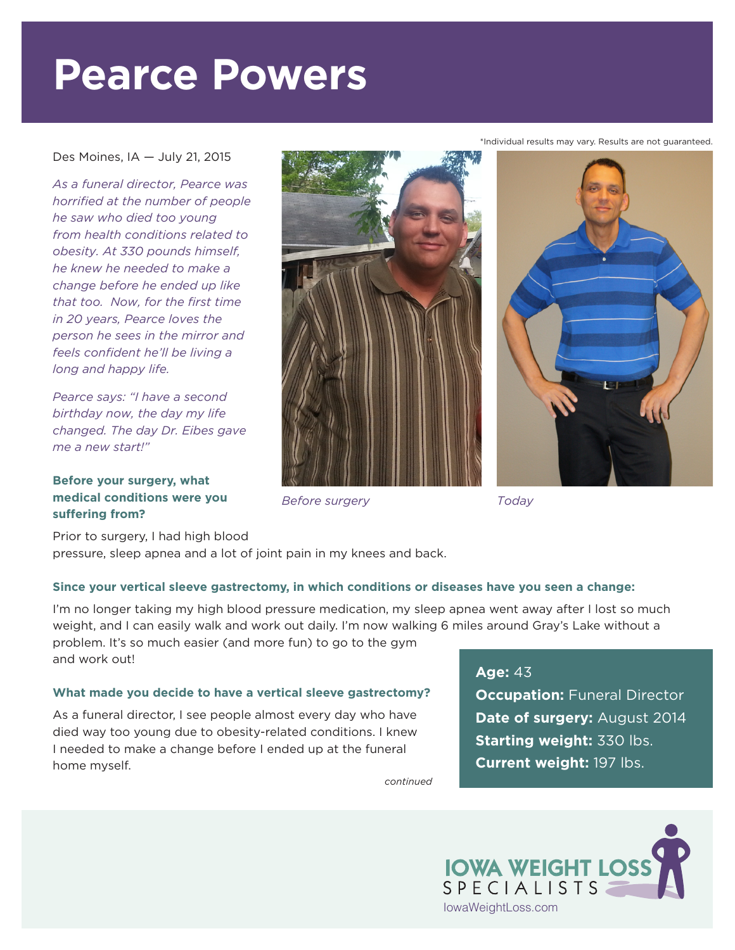# **Pearce Powers**

### Des Moines, IA — July 21, 2015

*As a funeral director, Pearce was horrified at the number of people he saw who died too young from health conditions related to obesity. At 330 pounds himself, he knew he needed to make a change before he ended up like that too. Now, for the first time in 20 years, Pearce loves the person he sees in the mirror and feels confident he'll be living a long and happy life.*

*Pearce says: "I have a second birthday now, the day my life changed. The day Dr. Eibes gave me a new start!"*

# **Before your surgery, what medical conditions were you suffering from?**

Prior to surgery, I had high blood pressure, sleep apnea and a lot of joint pain in my knees and back.

# **Since your vertical sleeve gastrectomy, in which conditions or diseases have you seen a change:**

I'm no longer taking my high blood pressure medication, my sleep apnea went away after I lost so much weight, and I can easily walk and work out daily. I'm now walking 6 miles around Gray's Lake without a problem. It's so much easier (and more fun) to go to the gym and work out!

# **What made you decide to have a vertical sleeve gastrectomy?**

As a funeral director, I see people almost every day who have died way too young due to obesity-related conditions. I knew I needed to make a change before I ended up at the funeral home myself.

*continued*

#### \*Individual results may vary. Results are not guaranteed.







# **Age:** 43

**Occupation: Funeral Director Date of surgery:** August 2014 **Starting weight:** 330 lbs. **Current weight:** 197 lbs.